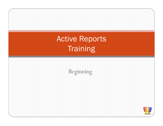Active Reports**Training** 

Beginning

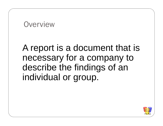#### **Overview**

# A report is a document that is necessary for a company to describe the findings of an individual or group.

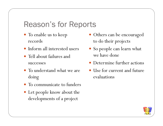### Reason's for Reports

- To enable us to keep records
- Inform all interested users
- Tell about failures and successes
- To understand what we are doing
- To communicate to funders
- Let people know about the developments of a project
- Others can be encouraged to do their projects
- So people can learn what we have done
- Determine further actions
- Use for current and future evaluations

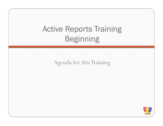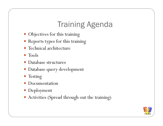## Training Agenda

- Objectives for this training
- Reports types for this training
- Technical architecture
- Tools
- 0 Database structures
- Database query development
- Testing
- 0 Documentation
- Deployment
- Activities (Spread through out the training)

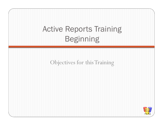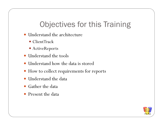# Objectives for this Training

- Understand the architecture
	- ClientTrack
	- ActiveReports
- Understand the tools
- 0 Understand how the data is stored
- How to collect requirements for reports
- Understand the data
- Gather the data
- $\bullet$ Present the data

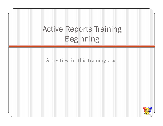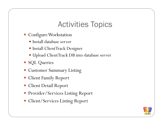#### Activities Topics

- Configure Workstation
	- Install database server
	- Install ClientTrack Designer
	- Upload ClientTrack DB into database server
- SQL Queries
- Customer Summary Listing
- Client Family Report
- Client Detail Report
- Provider/Services Listing Report
- Client/Services Listing Report